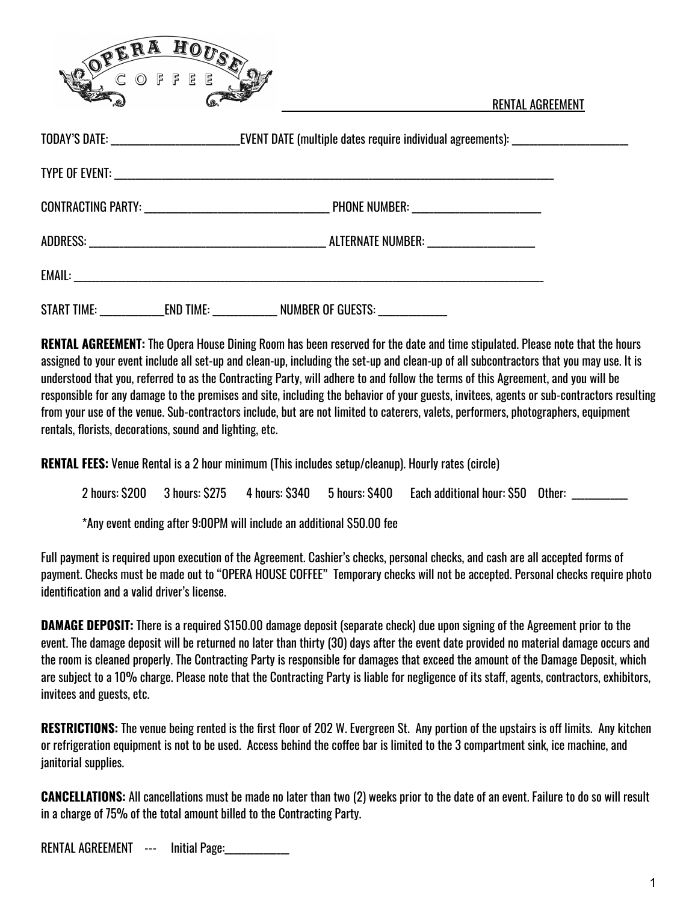

RENTAL AGREEMENT

| TODAY'S DATE: _________________________________EVENT DATE (multiple dates require individual agreements): ____________________________ |                                                                                        |  |  |  |  |
|----------------------------------------------------------------------------------------------------------------------------------------|----------------------------------------------------------------------------------------|--|--|--|--|
|                                                                                                                                        |                                                                                        |  |  |  |  |
|                                                                                                                                        |                                                                                        |  |  |  |  |
|                                                                                                                                        |                                                                                        |  |  |  |  |
|                                                                                                                                        |                                                                                        |  |  |  |  |
|                                                                                                                                        | START TIME: ________________END TIME: _______________ NUMBER OF GUESTS: ______________ |  |  |  |  |

**RENTAL AGREEMENT:** The Opera House Dining Room has been reserved for the date and time stipulated. Please note that the hours assigned to your event include all set-up and clean-up, including the set-up and clean-up of all subcontractors that you may use. It is understood that you, referred to as the Contracting Party, will adhere to and follow the terms of this Agreement, and you will be responsible for any damage to the premises and site, including the behavior of your guests, invitees, agents or sub-contractors resulting from your use of the venue. Sub-contractors include, but are not limited to caterers, valets, performers, photographers, equipment rentals, florists, decorations, sound and lighting, etc.

**RENTAL FEES:** Venue Rental is a 2 hour minimum (This includes setup/cleanup). Hourly rates (circle)

|  |  | 2 hours: \$200 3 hours: \$275 4 hours: \$340 5 hours: \$400 Each additional hour: \$50 Other: |  |
|--|--|-----------------------------------------------------------------------------------------------|--|
|  |  |                                                                                               |  |

\*Any event ending after 9:00PM will include an additional \$50.00 fee

Full payment is required upon execution of the Agreement. Cashier's checks, personal checks, and cash are all accepted forms of payment. Checks must be made out to "OPERA HOUSE COFFEE" Temporary checks will not be accepted. Personal checks require photo identification and a valid driver's license.

**DAMAGE DEPOSIT:** There is a required \$150.00 damage deposit (separate check) due upon signing of the Agreement prior to the event. The damage deposit will be returned no later than thirty (30) days after the event date provided no material damage occurs and the room is cleaned properly. The Contracting Party is responsible for damages that exceed the amount of the Damage Deposit, which are subject to a 10% charge. Please note that the Contracting Party is liable for negligence of its staff, agents, contractors, exhibitors, invitees and guests, etc.

**RESTRICTIONS:** The venue being rented is the first floor of 202 W. Evergreen St. Any portion of the upstairs is off limits. Any kitchen or refrigeration equipment is not to be used. Access behind the coffee bar is limited to the 3 compartment sink, ice machine, and janitorial supplies.

**CANCELLATIONS:** All cancellations must be made no later than two (2) weeks prior to the date of an event. Failure to do so will result in a charge of 75% of the total amount billed to the Contracting Party.

RENTAL AGREEMENT --- Initial Page: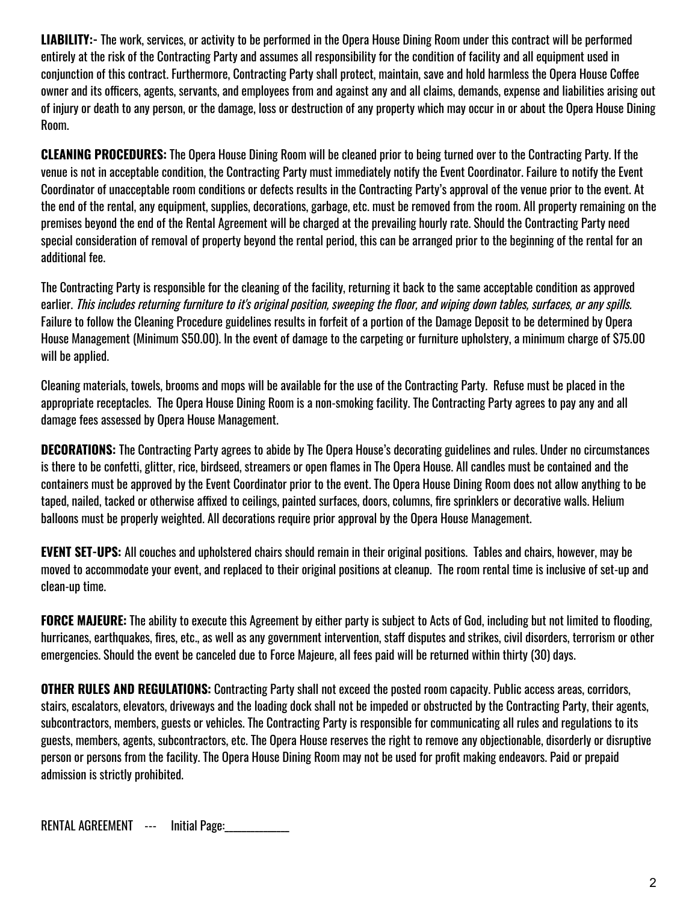**LIABILITY:-** The work, services, or activity to be performed in the Opera House Dining Room under this contract will be performed entirely at the risk of the Contracting Party and assumes all responsibility for the condition of facility and all equipment used in conjunction of this contract. Furthermore, Contracting Party shall protect, maintain, save and hold harmless the Opera House Coffee owner and its officers, agents, servants, and employees from and against any and all claims, demands, expense and liabilities arising out of injury or death to any person, or the damage, loss or destruction of any property which may occur in or about the Opera House Dining Room.

**CLEANING PROCEDURES:** The Opera House Dining Room will be cleaned prior to being turned over to the Contracting Party. If the venue is not in acceptable condition, the Contracting Party must immediately notify the Event Coordinator. Failure to notify the Event Coordinator of unacceptable room conditions or defects results in the Contracting Party's approval of the venue prior to the event. At the end of the rental, any equipment, supplies, decorations, garbage, etc. must be removed from the room. All property remaining on the premises beyond the end of the Rental Agreement will be charged at the prevailing hourly rate. Should the Contracting Party need special consideration of removal of property beyond the rental period, this can be arranged prior to the beginning of the rental for an additional fee.

The Contracting Party is responsible for the cleaning of the facility, returning it back to the same acceptable condition as approved earlier. This includes returning furniture to it's original position, sweeping the floor, and wiping down tables, surfaces, or any spills. Failure to follow the Cleaning Procedure guidelines results in forfeit of a portion of the Damage Deposit to be determined by Opera House Management (Minimum \$50.00). In the event of damage to the carpeting or furniture upholstery, a minimum charge of \$75.00 will be applied.

Cleaning materials, towels, brooms and mops will be available for the use of the Contracting Party. Refuse must be placed in the appropriate receptacles. The Opera House Dining Room is a non-smoking facility. The Contracting Party agrees to pay any and all damage fees assessed by Opera House Management.

**DECORATIONS:** The Contracting Party agrees to abide by The Opera House's decorating guidelines and rules. Under no circumstances is there to be confetti, glitter, rice, birdseed, streamers or open flames in The Opera House. All candles must be contained and the containers must be approved by the Event Coordinator prior to the event. The Opera House Dining Room does not allow anything to be taped, nailed, tacked or otherwise affixed to ceilings, painted surfaces, doors, columns, fire sprinklers or decorative walls. Helium balloons must be properly weighted. All decorations require prior approval by the Opera House Management.

**EVENT SET-UPS:** All couches and upholstered chairs should remain in their original positions. Tables and chairs, however, may be moved to accommodate your event, and replaced to their original positions at cleanup. The room rental time is inclusive of set-up and clean-up time.

**FORCE MAJEURE:** The ability to execute this Agreement by either party is subject to Acts of God, including but not limited to flooding, hurricanes, earthquakes, fires, etc., as well as any government intervention, staff disputes and strikes, civil disorders, terrorism or other emergencies. Should the event be canceled due to Force Majeure, all fees paid will be returned within thirty (30) days.

**OTHER RULES AND REGULATIONS:** Contracting Party shall not exceed the posted room capacity. Public access areas, corridors, stairs, escalators, elevators, driveways and the loading dock shall not be impeded or obstructed by the Contracting Party, their agents, subcontractors, members, guests or vehicles. The Contracting Party is responsible for communicating all rules and regulations to its guests, members, agents, subcontractors, etc. The Opera House reserves the right to remove any objectionable, disorderly or disruptive person or persons from the facility. The Opera House Dining Room may not be used for profit making endeavors. Paid or prepaid admission is strictly prohibited.

RENTAL AGREEMENT --- Initial Page: